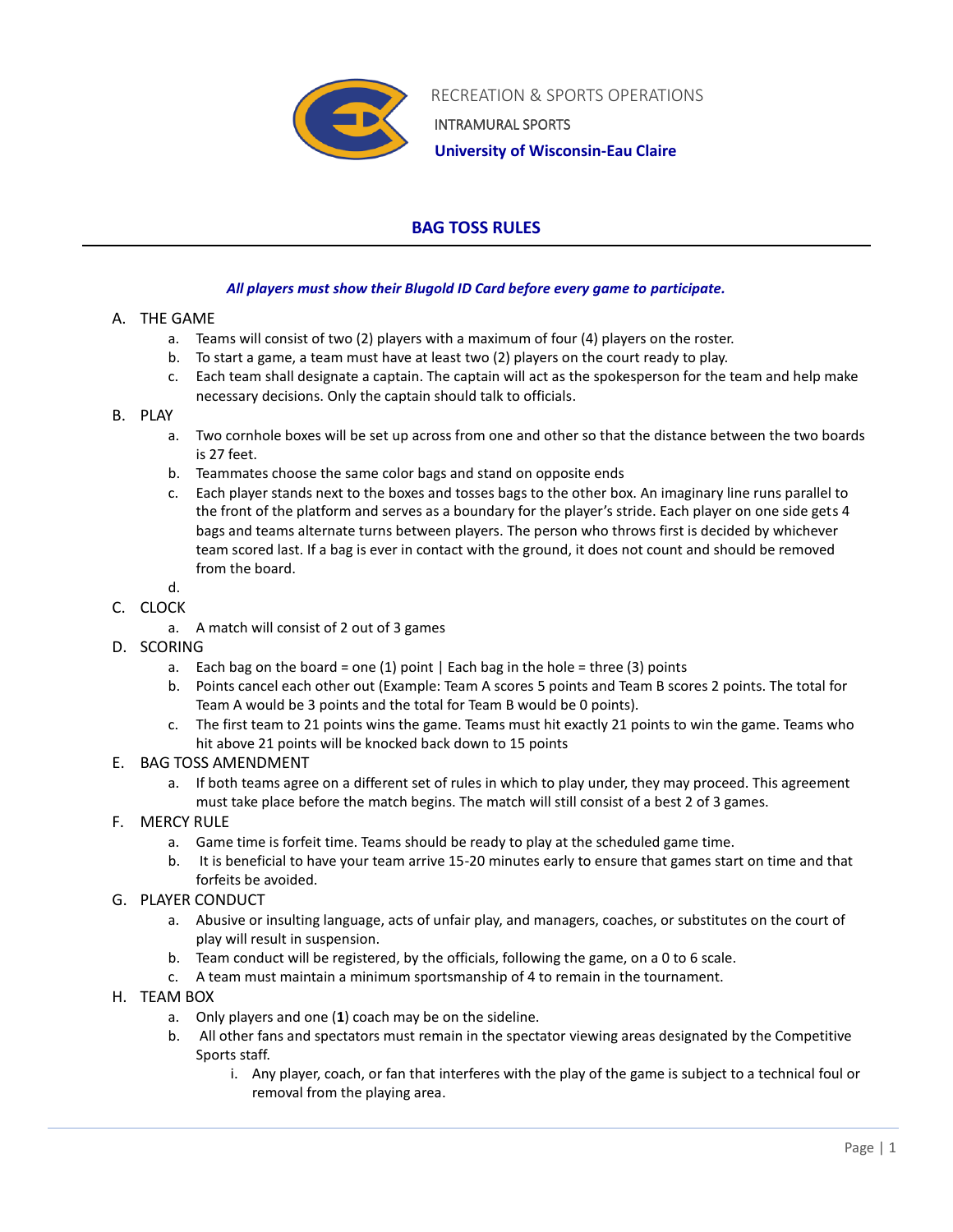

RECREATION & SPORTS OPERATIONS INTRAMURAL SPORTS

 **University of Wisconsin-Eau Claire**

# **BAG TOSS RULES**

## *All players must show their Blugold ID Card before every game to participate.*

## A. THE GAME

- a. Teams will consist of two (2) players with a maximum of four (4) players on the roster.
- b. To start a game, a team must have at least two (2) players on the court ready to play.
- c. Each team shall designate a captain. The captain will act as the spokesperson for the team and help make necessary decisions. Only the captain should talk to officials.

## B. PLAY

- a. Two cornhole boxes will be set up across from one and other so that the distance between the two boards is 27 feet.
- b. Teammates choose the same color bags and stand on opposite ends
- c. Each player stands next to the boxes and tosses bags to the other box. An imaginary line runs parallel to the front of the platform and serves as a boundary for the player's stride. Each player on one side gets 4 bags and teams alternate turns between players. The person who throws first is decided by whichever team scored last. If a bag is ever in contact with the ground, it does not count and should be removed from the board.

#### d. C. CLOCK

- a. A match will consist of 2 out of 3 games
- D. SCORING
	- a. Each bag on the board = one (1) point | Each bag in the hole = three (3) points
	- b. Points cancel each other out (Example: Team A scores 5 points and Team B scores 2 points. The total for Team A would be 3 points and the total for Team B would be 0 points).
	- c. The first team to 21 points wins the game. Teams must hit exactly 21 points to win the game. Teams who hit above 21 points will be knocked back down to 15 points

#### E. BAG TOSS AMENDMENT

- a. If both teams agree on a different set of rules in which to play under, they may proceed. This agreement must take place before the match begins. The match will still consist of a best 2 of 3 games.
- F. MERCY RULE
	- a. Game time is forfeit time. Teams should be ready to play at the scheduled game time.
	- b. It is beneficial to have your team arrive 15-20 minutes early to ensure that games start on time and that forfeits be avoided.
- G. PLAYER CONDUCT
	- a. Abusive or insulting language, acts of unfair play, and managers, coaches, or substitutes on the court of play will result in suspension.
	- b. Team conduct will be registered, by the officials, following the game, on a 0 to 6 scale.
	- c. A team must maintain a minimum sportsmanship of 4 to remain in the tournament.
- H. TEAM BOX
	- a. Only players and one (**1**) coach may be on the sideline.
	- b. All other fans and spectators must remain in the spectator viewing areas designated by the Competitive Sports staff.
		- i. Any player, coach, or fan that interferes with the play of the game is subject to a technical foul or removal from the playing area.